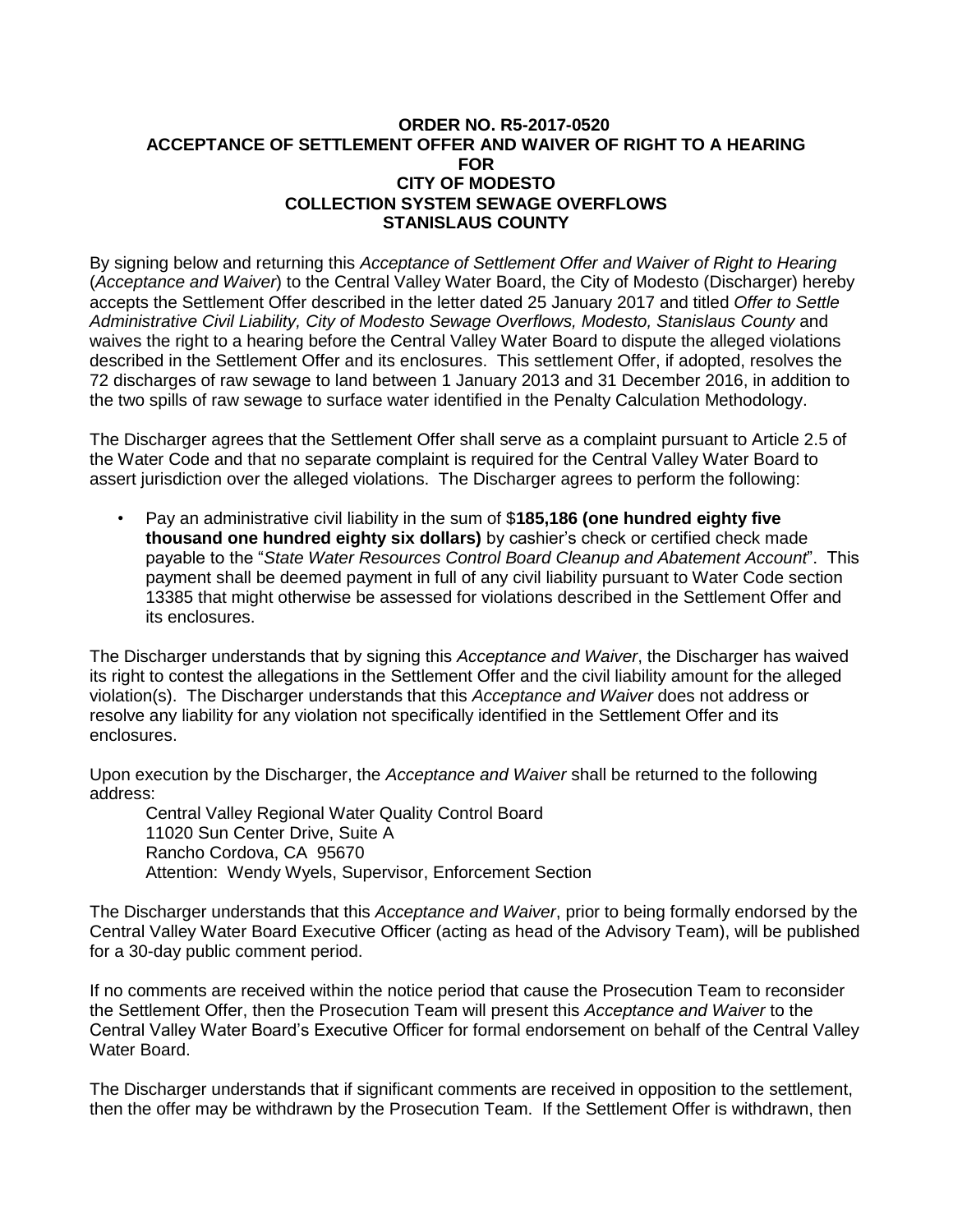## **ORDER NO. R5-2017-0520 ACCEPTANCE OF SETTLEMENT OFFER AND WAIVER OF RIGHT TO A HEARING FOR CITY OF MODESTO COLLECTION SYSTEM SEWAGE OVERFLOWS STANISLAUS COUNTY**

By signing below and returning this *Acceptance of Settlement Offer and Waiver of Right to Hearing* (*Acceptance and Waiver*) to the Central Valley Water Board, the City of Modesto (Discharger) hereby accepts the Settlement Offer described in the letter dated 25 January 2017 and titled *Offer to Settle Administrative Civil Liability, City of Modesto Sewage Overflows, Modesto, Stanislaus County* and waives the right to a hearing before the Central Valley Water Board to dispute the alleged violations described in the Settlement Offer and its enclosures. This settlement Offer, if adopted, resolves the 72 discharges of raw sewage to land between 1 January 2013 and 31 December 2016, in addition to the two spills of raw sewage to surface water identified in the Penalty Calculation Methodology.

The Discharger agrees that the Settlement Offer shall serve as a complaint pursuant to Article 2.5 of the Water Code and that no separate complaint is required for the Central Valley Water Board to assert jurisdiction over the alleged violations. The Discharger agrees to perform the following:

• Pay an administrative civil liability in the sum of \$**185,186 (one hundred eighty five thousand one hundred eighty six dollars)** by cashier's check or certified check made payable to the "*State Water Resources Control Board Cleanup and Abatement Account*". This payment shall be deemed payment in full of any civil liability pursuant to Water Code section 13385 that might otherwise be assessed for violations described in the Settlement Offer and its enclosures.

The Discharger understands that by signing this *Acceptance and Waiver*, the Discharger has waived its right to contest the allegations in the Settlement Offer and the civil liability amount for the alleged violation(s). The Discharger understands that this *Acceptance and Waiver* does not address or resolve any liability for any violation not specifically identified in the Settlement Offer and its enclosures.

Upon execution by the Discharger, the *Acceptance and Waiver* shall be returned to the following address:

Central Valley Regional Water Quality Control Board 11020 Sun Center Drive, Suite A Rancho Cordova, CA 95670 Attention: Wendy Wyels, Supervisor, Enforcement Section

The Discharger understands that this *Acceptance and Waiver*, prior to being formally endorsed by the Central Valley Water Board Executive Officer (acting as head of the Advisory Team), will be published for a 30-day public comment period.

If no comments are received within the notice period that cause the Prosecution Team to reconsider the Settlement Offer, then the Prosecution Team will present this *Acceptance and Waiver* to the Central Valley Water Board's Executive Officer for formal endorsement on behalf of the Central Valley Water Board.

The Discharger understands that if significant comments are received in opposition to the settlement, then the offer may be withdrawn by the Prosecution Team. If the Settlement Offer is withdrawn, then